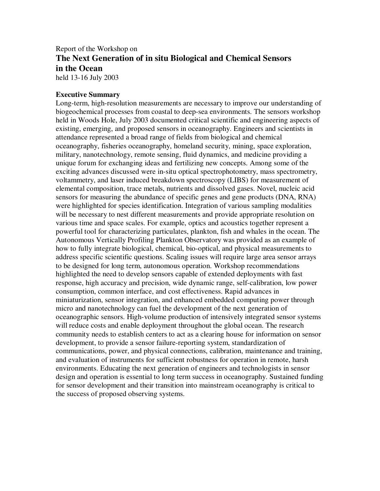# Report of the Workshop on **The Next Generation of in situ Biological and Chemical Sensors in the Ocean** held 13-16 July 2003

#### **Executive Summary**

Long-term, high-resolution measurements are necessary to improve our understanding of biogeochemical processes from coastal to deep-sea environments. The sensors workshop held in Woods Hole, July 2003 documented critical scientific and engineering aspects of existing, emerging, and proposed sensors in oceanography. Engineers and scientists in attendance represented a broad range of fields from biological and chemical oceanography, fisheries oceanography, homeland security, mining, space exploration, military, nanotechnology, remote sensing, fluid dynamics, and medicine providing a unique forum for exchanging ideas and fertilizing new concepts. Among some of the exciting advances discussed were in-situ optical spectrophotometry, mass spectrometry, voltammetry, and laser induced breakdown spectroscopy (LIBS) for measurement of elemental composition, trace metals, nutrients and dissolved gases. Novel, nucleic acid sensors for measuring the abundance of specific genes and gene products (DNA, RNA) were highlighted for species identification. Integration of various sampling modalities will be necessary to nest different measurements and provide appropriate resolution on various time and space scales. For example, optics and acoustics together represent a powerful tool for characterizing particulates, plankton, fish and whales in the ocean. The Autonomous Vertically Profiling Plankton Observatory was provided as an example of how to fully integrate biological, chemical, bio-optical, and physical measurements to address specific scientific questions. Scaling issues will require large area sensor arrays to be designed for long term, autonomous operation. Workshop recommendations highlighted the need to develop sensors capable of extended deployments with fast response, high accuracy and precision, wide dynamic range, self-calibration, low power consumption, common interface, and cost effectiveness. Rapid advances in miniaturization, sensor integration, and enhanced embedded computing power through micro and nanotechnology can fuel the development of the next generation of oceanographic sensors. High-volume production of intensively integrated sensor systems will reduce costs and enable deployment throughout the global ocean. The research community needs to establish centers to act as a clearing house for information on sensor development, to provide a sensor failure-reporting system, standardization of communications, power, and physical connections, calibration, maintenance and training, and evaluation of instruments for sufficient robustness for operation in remote, harsh environments. Educating the next generation of engineers and technologists in sensor design and operation is essential to long term success in oceanography. Sustained funding for sensor development and their transition into mainstream oceanography is critical to the success of proposed observing systems.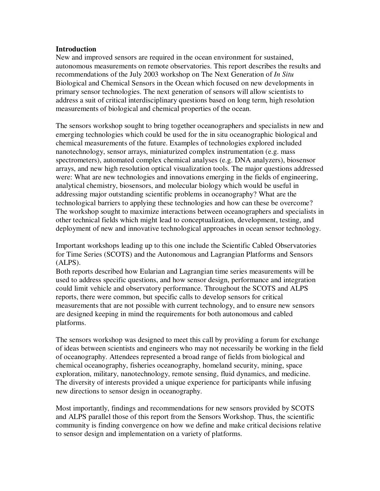### **Introduction**

New and improved sensors are required in the ocean environment for sustained, autonomous measurements on remote observatories. This report describes the results and recommendations of the July 2003 workshop on The Next Generation of *In Situ* Biological and Chemical Sensors in the Ocean which focused on new developments in primary sensor technologies. The next generation of sensors will allow scientists to address a suit of critical interdisciplinary questions based on long term, high resolution measurements of biological and chemical properties of the ocean.

The sensors workshop sought to bring together oceanographers and specialists in new and emerging technologies which could be used for the in situ oceanographic biological and chemical measurements of the future. Examples of technologies explored included nanotechnology, sensor arrays, miniaturized complex instrumentation (e.g. mass spectrometers), automated complex chemical analyses (e.g. DNA analyzers), biosensor arrays, and new high resolution optical visualization tools. The major questions addressed were: What are new technologies and innovations emerging in the fields of engineering, analytical chemistry, biosensors, and molecular biology which would be useful in addressing major outstanding scientific problems in oceanography? What are the technological barriers to applying these technologies and how can these be overcome? The workshop sought to maximize interactions between oceanographers and specialists in other technical fields which might lead to conceptualization, development, testing, and deployment of new and innovative technological approaches in ocean sensor technology.

Important workshops leading up to this one include the Scientific Cabled Observatories for Time Series (SCOTS) and the Autonomous and Lagrangian Platforms and Sensors (ALPS).

Both reports described how Eularian and Lagrangian time series measurements will be used to address specific questions, and how sensor design, performance and integration could limit vehicle and observatory performance. Throughout the SCOTS and ALPS reports, there were common, but specific calls to develop sensors for critical measurements that are not possible with current technology, and to ensure new sensors are designed keeping in mind the requirements for both autonomous and cabled platforms.

The sensors workshop was designed to meet this call by providing a forum for exchange of ideas between scientists and engineers who may not necessarily be working in the field of oceanography. Attendees represented a broad range of fields from biological and chemical oceanography, fisheries oceanography, homeland security, mining, space exploration, military, nanotechnology, remote sensing, fluid dynamics, and medicine. The diversity of interests provided a unique experience for participants while infusing new directions to sensor design in oceanography.

Most importantly, findings and recommendations for new sensors provided by SCOTS and ALPS parallel those of this report from the Sensors Workshop. Thus, the scientific community is finding convergence on how we define and make critical decisions relative to sensor design and implementation on a variety of platforms.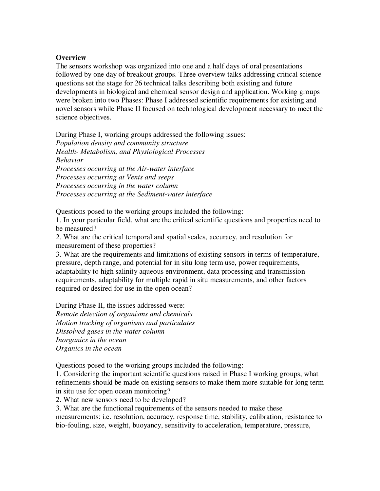### **Overview**

The sensors workshop was organized into one and a half days of oral presentations followed by one day of breakout groups. Three overview talks addressing critical science questions set the stage for 26 technical talks describing both existing and future developments in biological and chemical sensor design and application. Working groups were broken into two Phases: Phase I addressed scientific requirements for existing and novel sensors while Phase II focused on technological development necessary to meet the science objectives.

During Phase I, working groups addressed the following issues: *Population density and community structure Health- Metabolism, and Physiological Processes Behavior Processes occurring at the Air-water interface Processes occurring at Vents and seeps Processes occurring in the water column Processes occurring at the Sediment-water interface*

Questions posed to the working groups included the following:

1. In your particular field, what are the critical scientific questions and properties need to be measured?

2. What are the critical temporal and spatial scales, accuracy, and resolution for measurement of these properties?

3. What are the requirements and limitations of existing sensors in terms of temperature, pressure, depth range, and potential for in situ long term use, power requirements, adaptability to high salinity aqueous environment, data processing and transmission requirements, adaptability for multiple rapid in situ measurements, and other factors required or desired for use in the open ocean?

During Phase II, the issues addressed were: *Remote detection of organisms and chemicals Motion tracking of organisms and particulates Dissolved gases in the water column Inorganics in the ocean Organics in the ocean*

Questions posed to the working groups included the following:

1. Considering the important scientific questions raised in Phase I working groups, what refinements should be made on existing sensors to make them more suitable for long term in situ use for open ocean monitoring?

2. What new sensors need to be developed?

3. What are the functional requirements of the sensors needed to make these

measurements: i.e. resolution, accuracy, response time, stability, calibration, resistance to bio-fouling, size, weight, buoyancy, sensitivity to acceleration, temperature, pressure,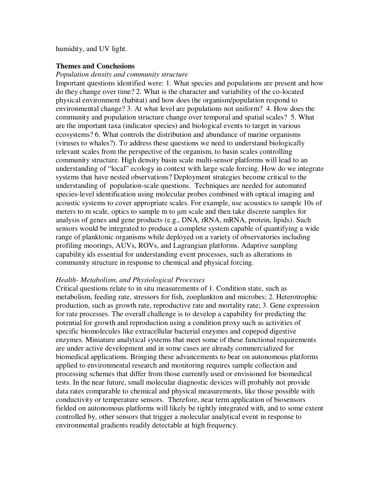humidity, and UV light.

### **Themes and Conclusions**

#### *Population density and community structure*

Important questions identified were: 1. What species and populations are present and how do they change over time? 2. What is the character and variability of the co-located physical environment (habitat) and how does the organism/population respond to environmental change? 3. At what level are populations not uniform? 4. How does the community and population structure change over temporal and spatial scales? 5. What are the important taxa (indicator species) and biological events to target in various ecosystems? 6. What controls the distribution and abundance of marine organisms (viruses to whales?). To address these questions we need to understand biologically relevant scales from the perspective of the organism, to basin scales controlling community structure. High density basin scale multi-sensor platforms will lead to an understanding of "local" ecology in context with large scale forcing. How do we integrate systems that have nested observations? Deployment strategies become critical to the understanding of population-scale questions. Techniques are needed for automated species-level identification using molecular probes combined with optical imaging and acoustic systems to cover appropriate scales. For example, use acoustics to sample 10s of meters to m scale, optics to sample m to µm scale and then take discrete samples for analysis of genes and gene products (e.g., DNA, rRNA, mRNA, protein, lipids). Such sensors would be integrated to produce a complete system capable of quantifying a wide range of planktonic organisms while deployed on a variety of observatories including profiling moorings, AUVs, ROVs, and Lagrangian platforms. Adaptive sampling capability ids essential for understanding event processes, such as alterations in community structure in response to chemical and physical forcing.

### *Health- Metabolism, and Physiological Processes*

Critical questions relate to in situ measurements of 1. Condition state, such as metabolism, feeding rate, stressors for fish, zooplankton and microbes; 2. Heterotrophic production, such as growth rate, reproductive rate and mortality rate; 3. Gene expression for rate processes. The overall challenge is to develop a capability for predicting the potential for growth and reproduction using a condition proxy such as activities of specific biomolecules like extracellular bacterial enzymes and copepod digestive enzymes. Miniature analytical systems that meet some of these functional requirements are under active development and in some cases are already commercialized for biomedical applications. Bringing these advancements to bear on autonomous platforms applied to environmental research and monitoring requires sample collection and processing schemes that differ from those currently used or envisioned for biomedical tests. In the near future, small molecular diagnostic devices will probably not provide data rates comparable to chemical and physical measurements, like those possible with conductivity or temperature sensors. Therefore, near term application of biosensors fielded on autonomous platforms will likely be tightly integrated with, and to some extent controlled by, other sensors that trigger a molecular analytical event in response to environmental gradients readily detectable at high frequency.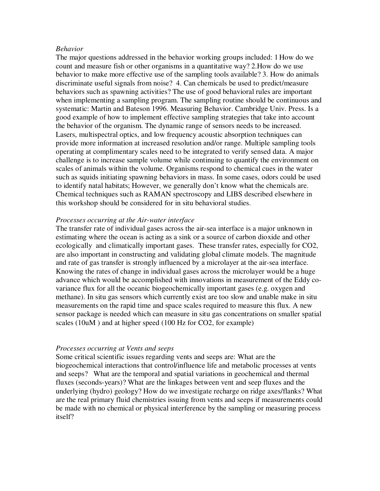#### *Behavior*

The major questions addressed in the behavior working groups included: 1How do we count and measure fish or other organisms in a quantitative way? 2.How do we use behavior to make more effective use of the sampling tools available? 3. How do animals discriminate useful signals from noise? 4. Can chemicals be used to predict/measure behaviors such as spawning activities? The use of good behavioral rules are important when implementing a sampling program. The sampling routine should be continuous and systematic: Martin and Bateson 1996. Measuring Behavior. Cambridge Univ. Press. Is a good example of how to implement effective sampling strategies that take into account the behavior of the organism. The dynamic range of sensors needs to be increased. Lasers, multispectral optics, and low frequency acoustic absorption techniques can provide more information at increased resolution and/or range. Multiple sampling tools operating at complimentary scales need to be integrated to verify sensed data. A major challenge is to increase sample volume while continuing to quantify the environment on scales of animals within the volume. Organisms respond to chemical cues in the water such as squids initiating spawning behaviors in mass. In some cases, odors could be used to identify natal habitats; However, we generally don't know what the chemicals are. Chemical techniques such as RAMAN spectroscopy and LIBS described elsewhere in this workshop should be considered for in situ behavioral studies.

#### *Processes occurring at the Air-water interface*

The transfer rate of individual gases across the air-sea interface is a major unknown in estimating where the ocean is acting as a sink or a source of carbon dioxide and other ecologically and climatically important gases. These transfer rates, especially for CO2, are also important in constructing and validating global climate models. The magnitude and rate of gas transfer is strongly influenced by a microlayer at the air-sea interface. Knowing the rates of change in individual gases across the microlayer would be a huge advance which would be accomplished with innovations in measurement of the Eddy covariance flux for all the oceanic biogeochemically important gases (e.g. oxygen and methane). In situ gas sensors which currently exist are too slow and unable make in situ measurements on the rapid time and space scales required to measure this flux. A new sensor package is needed which can measure in situ gas concentrations on smaller spatial scales (10uM ) and at higher speed (100 Hz for CO2, for example)

### *Processes occurring at Vents and seeps*

Some critical scientific issues regarding vents and seeps are: What are the biogeochemical interactions that control/influence life and metabolic processes at vents and seeps? What are the temporal and spatial variations in geochemical and thermal fluxes (seconds-years)? What are the linkages between vent and seep fluxes and the underlying (hydro) geology? How do we investigate recharge on ridge axes/flanks? What are the real primary fluid chemistries issuing from vents and seeps if measurements could be made with no chemical or physical interference by the sampling or measuring process itself?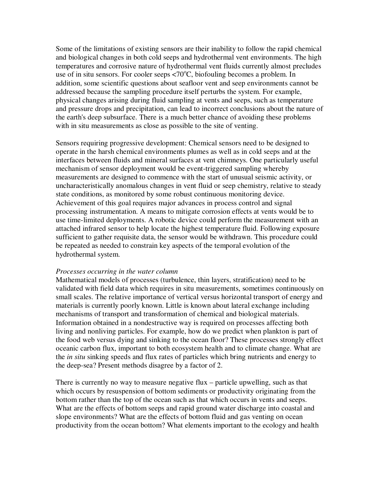Some of the limitations of existing sensors are their inability to follow the rapid chemical and biological changes in both cold seeps and hydrothermal vent environments. The high temperatures and corrosive nature of hydrothermal vent fluids currently almost precludes use of in situ sensors. For cooler seeps  $\langle 70^{\circ}$ C, biofouling becomes a problem. In addition, some scientific questions about seafloor vent and seep environments cannot be addressed because the sampling procedure itself perturbs the system. For example, physical changes arising during fluid sampling at vents and seeps, such as temperature and pressure drops and precipitation, can lead to incorrect conclusions about the nature of the earth's deep subsurface. There is a much better chance of avoiding these problems with in situ measurements as close as possible to the site of venting.

Sensors requiring progressive development: Chemical sensors need to be designed to operate in the harsh chemical environments plumes as well as in cold seeps and at the interfaces between fluids and mineral surfaces at vent chimneys. One particularly useful mechanism of sensor deployment would be event-triggered sampling whereby measurements are designed to commence with the start of unusual seismic activity, or uncharacteristically anomalous changes in vent fluid or seep chemistry, relative to steady state conditions, as monitored by some robust continuous monitoring device. Achievement of this goal requires major advances in process control and signal processing instrumentation. A means to mitigate corrosion effects at vents would be to use time-limited deployments. A robotic device could perform the measurement with an attached infrared sensor to help locate the highest temperature fluid. Following exposure sufficient to gather requisite data, the sensor would be withdrawn. This procedure could be repeated as needed to constrain key aspects of the temporal evolution of the hydrothermal system.

### *Processes occurring in the water column*

Mathematical models of processes (turbulence, thin layers, stratification) need to be validated with field data which requires in situ measurements, sometimes continuously on small scales. The relative importance of vertical versus horizontal transport of energy and materials is currently poorly known. Little is known about lateral exchange including mechanisms of transport and transformation of chemical and biological materials. Information obtained in a nondestructive way is required on processes affecting both living and nonliving particles. For example, how do we predict when plankton is part of the food web versus dying and sinking to the ocean floor? These processes strongly effect oceanic carbon flux, important to both ecosystem health and to climate change. What are the *in situ* sinking speeds and flux rates of particles which bring nutrients and energy to the deep-sea? Present methods disagree by a factor of 2.

There is currently no way to measure negative flux – particle upwelling, such as that which occurs by resuspension of bottom sediments or productivity originating from the bottom rather than the top of the ocean such as that which occurs in vents and seeps. What are the effects of bottom seeps and rapid ground water discharge into coastal and slope environments? What are the effects of bottom fluid and gas venting on ocean productivity from the ocean bottom? What elements important to the ecology and health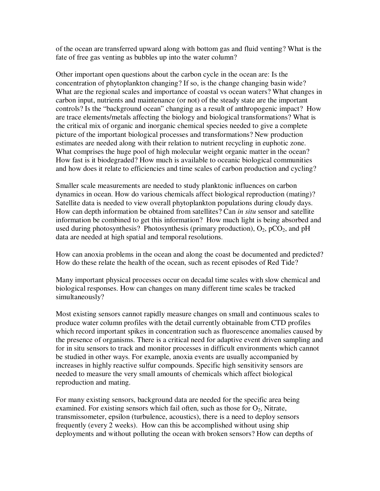of the ocean are transferred upward along with bottom gas and fluid venting? What is the fate of free gas venting as bubbles up into the water column?

Other important open questions about the carbon cycle in the ocean are: Is the concentration of phytoplankton changing? If so, is the change changing basin wide? What are the regional scales and importance of coastal vs ocean waters? What changes in carbon input, nutrients and maintenance (or not) of the steady state are the important controls? Is the "background ocean" changing as a result of anthropogenic impact? How are trace elements/metals affecting the biology and biological transformations? What is the critical mix of organic and inorganic chemical species needed to give a complete picture of the important biological processes and transformations? New production estimates are needed along with their relation to nutrient recycling in euphotic zone. What comprises the huge pool of high molecular weight organic matter in the ocean? How fast is it biodegraded? How much is available to oceanic biological communities and how does it relate to efficiencies and time scales of carbon production and cycling?

Smaller scale measurements are needed to study planktonic influences on carbon dynamics in ocean. How do various chemicals affect biological reproduction (mating)? Satellite data is needed to view overall phytoplankton populations during cloudy days. How can depth information be obtained from satellites? Can *in situ* sensor and satellite information be combined to get this information? How much light is being absorbed and used during photosynthesis? Photosynthesis (primary production),  $O_2$ , pCO<sub>2</sub>, and pH data are needed at high spatial and temporal resolutions.

How can anoxia problems in the ocean and along the coast be documented and predicted? How do these relate the health of the ocean, such as recent episodes of Red Tide?

Many important physical processes occur on decadal time scales with slow chemical and biological responses. How can changes on many different time scales be tracked simultaneously?

Most existing sensors cannot rapidly measure changes on small and continuous scales to produce water column profiles with the detail currently obtainable from CTD profiles which record important spikes in concentration such as fluorescence anomalies caused by the presence of organisms. There is a critical need for adaptive event driven sampling and for in situ sensors to track and monitor processes in difficult environments which cannot be studied in other ways. For example, anoxia events are usually accompanied by increases in highly reactive sulfur compounds. Specific high sensitivity sensors are needed to measure the very small amounts of chemicals which affect biological reproduction and mating.

For many existing sensors, background data are needed for the specific area being examined. For existing sensors which fail often, such as those for  $O_2$ , Nitrate, transmissometer, epsilon (turbulence, acoustics), there is a need to deploy sensors frequently (every 2 weeks). How can this be accomplished without using ship deployments and without polluting the ocean with broken sensors? How can depths of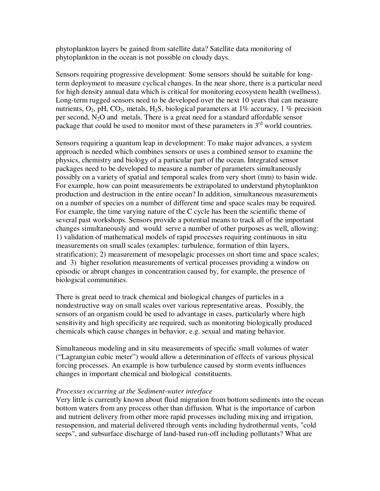phytoplankton layers be gained from satellite data? Satellite data monitoring of phytoplankton in the ocean is not possible on cloudy days.

Sensors requiring progressive development: Some sensors should be suitable for longterm deployment to measure cyclical changes. In the near shore, there is a particular need for high density annual data which is critical for monitoring ecosystem health (wellness). Long-term rugged sensors need to be developed over the next 10 years that can measure nutrients,  $O_2$ , pH,  $CO_2$ , metals, H<sub>2</sub>S, biological parameters at 1% accuracy, 1% precision per second,  $N_2O$  and metals. There is a great need for a standard affordable sensor package that could be used to monitor most of these parameters in  $3<sup>rd</sup>$  world countries.

Sensors requiring a quantum leap in development: To make major advances, a system approach is needed which combines sensors or uses a combined sensor to examine the physics, chemistry and biology of a particular part of the ocean. Integrated sensor packages need to be developed to measure a number of parameters simultaneously possibly on a variety of spatial and temporal scales from very short (mm) to basin wide. For example, how can point measurements be extrapolated to understand phytoplankton production and destruction in the entire ocean? In addition, simultaneous measurements on a number of species on a number of different time and space scales may be required. For example, the time varying nature of the C cycle has been the scientific theme of several past workshops. Sensors provide a potential means to track all of the important changes simultaneously and would serve a number of other purposes as well, allowing: 1) validation of mathematical models of rapid processes requiring continuous in situ measurements on small scales (examples: turbulence, formation of thin layers, stratification); 2) measurement of mesopelagic processes on short time and space scales; and 3) higher resolution measurements of vertical processes providing a window on episodic or abrupt changes in concentration caused by, for example, the presence of biological communities.

There is great need to track chemical and biological changes of particles in a nondestructive way on small scales over various representative areas. Possibly, the sensors of an organism could be used to advantage in cases, particularly where high sensitivity and high specificity are required, such as monitoring biologically produced chemicals which cause changes in behavior, e.g. sexual and mating behavior.

Simultaneous modeling and in situ measurements of specific small volumes of water ("Lagrangian cubic meter") would allow a determination of effects of various physical forcing processes. An example is how turbulence caused by storm events influences changes in important chemical and biological constituents.

# *Processes occurring at the Sediment-water interface*

Very little is currently known about fluid migration from bottom sediments into the ocean bottom waters from any process other than diffusion. What is the importance of carbon and nutrient delivery from other more rapid processes including mixing and irrigation, resuspension, and material delivered through vents including hydrothermal vents, "cold seeps", and subsurface discharge of land-based run-off including pollutants? What are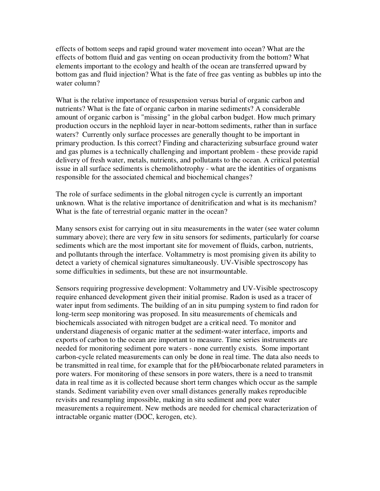effects of bottom seeps and rapid ground water movement into ocean? What are the effects of bottom fluid and gas venting on ocean productivity from the bottom? What elements important to the ecology and health of the ocean are transferred upward by bottom gas and fluid injection? What is the fate of free gas venting as bubbles up into the water column?

What is the relative importance of resuspension versus burial of organic carbon and nutrients? What is the fate of organic carbon in marine sediments? A considerable amount of organic carbon is "missing" in the global carbon budget. How much primary production occurs in the nephloid layer in near-bottom sediments, rather than in surface waters? Currently only surface processes are generally thought to be important in primary production. Is this correct? Finding and characterizing subsurface ground water and gas plumes is a technically challenging and important problem - these provide rapid delivery of fresh water, metals, nutrients, and pollutants to the ocean. A critical potential issue in all surface sediments is chemolithotrophy - what are the identities of organisms responsible for the associated chemical and biochemical changes?

The role of surface sediments in the global nitrogen cycle is currently an important unknown. What is the relative importance of denitrification and what is its mechanism? What is the fate of terrestrial organic matter in the ocean?

Many sensors exist for carrying out in situ measurements in the water (see water column summary above); there are very few in situ sensors for sediments, particularly for coarse sediments which are the most important site for movement of fluids, carbon, nutrients, and pollutants through the interface. Voltammetry is most promising given its ability to detect a variety of chemical signatures simultaneously. UV-Visible spectroscopy has some difficulties in sediments, but these are not insurmountable.

Sensors requiring progressive development: Voltammetry and UV-Visible spectroscopy require enhanced development given their initial promise. Radon is used as a tracer of water input from sediments. The building of an in situ pumping system to find radon for long-term seep monitoring was proposed. In situ measurements of chemicals and biochemicals associated with nitrogen budget are a critical need. To monitor and understand diagenesis of organic matter at the sediment-water interface, imports and exports of carbon to the ocean are important to measure. Time series instruments are needed for monitoring sediment pore waters - none currently exists. Some important carbon-cycle related measurements can only be done in real time. The data also needs to be transmitted in real time, for example that for the pH/biocarbonate related parameters in pore waters. For monitoring of these sensors in pore waters, there is a need to transmit data in real time as it is collected because short term changes which occur as the sample stands. Sediment variability even over small distances generally makes reproducible revisits and resampling impossible, making in situ sediment and pore water measurements a requirement. New methods are needed for chemical characterization of intractable organic matter (DOC, kerogen, etc).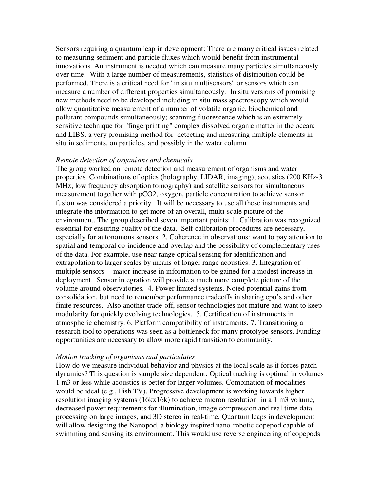Sensors requiring a quantum leap in development: There are many critical issues related to measuring sediment and particle fluxes which would benefit from instrumental innovations. An instrument is needed which can measure many particles simultaneously over time. With a large number of measurements, statistics of distribution could be performed. There is a critical need for "in situ multisensors" or sensors which can measure a number of different properties simultaneously. In situ versions of promising new methods need to be developed including in situ mass spectroscopy which would allow quantitative measurement of a number of volatile organic, biochemical and pollutant compounds simultaneously; scanning fluorescence which is an extremely sensitive technique for "fingerprinting" complex dissolved organic matter in the ocean; and LIBS, a very promising method for detecting and measuring multiple elements in situ in sediments, on particles, and possibly in the water column.

#### *Remote detection of organisms and chemicals*

The group worked on remote detection and measurement of organisms and water properties. Combinations of optics (holography, LIDAR, imaging), acoustics (200 KHz-3 MHz; low frequency absorption tomography) and satellite sensors for simultaneous measurement together with pCO2, oxygen, particle concentration to achieve sensor fusion was considered a priority. It will be necessary to use all these instruments and integrate the information to get more of an overall, multi-scale picture of the environment. The group described seven important points: 1. Calibration was recognized essential for ensuring quality of the data. Self-calibration procedures are necessary, especially for autonomous sensors. 2. Coherence in observations: want to pay attention to spatial and temporal co-incidence and overlap and the possibility of complementary uses of the data. For example, use near range optical sensing for identification and extrapolation to larger scales by means of longer range acoustics. 3. Integration of multiple sensors -- major increase in information to be gained for a modest increase in deployment. Sensor integration will provide a much more complete picture of the volume around observatories. 4. Power limited systems. Noted potential gains from consolidation, but need to remember performance tradeoffs in sharing cpu's and other finite resources. Also another trade-off, sensor technologies not mature and want to keep modularity for quickly evolving technologies. 5. Certification of instruments in atmospheric chemistry. 6. Platform compatibility of instruments. 7. Transitioning a research tool to operations was seen as a bottleneck for many prototype sensors. Funding opportunities are necessary to allow more rapid transition to community.

#### *Motion tracking of organisms and particulates*

How do we measure individual behavior and physics at the local scale as it forces patch dynamics? This question is sample size dependent: Optical tracking is optimal in volumes 1 m3 or less while acoustics is better for larger volumes. Combination of modalities would be ideal (e.g., Fish TV). Progressive development is working towards higher resolution imaging systems (16kx16k) to achieve micron resolution in a 1 m3 volume, decreased power requirements for illumination, image compression and real-time data processing on large images, and 3D stereo in real-time. Quantum leaps in development will allow designing the Nanopod, a biology inspired nano-robotic copepod capable of swimming and sensing its environment. This would use reverse engineering of copepods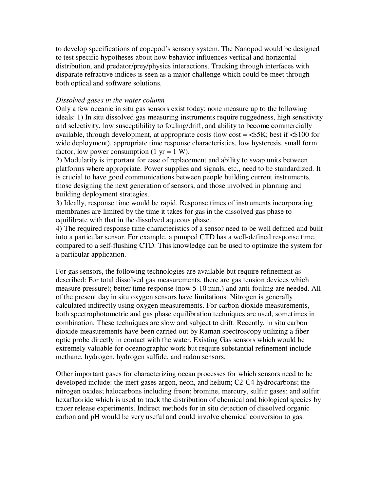to develop specifications of copepod's sensory system. The Nanopod would be designed to test specific hypotheses about how behavior influences vertical and horizontal distribution, and predator/prey/physics interactions. Tracking through interfaces with disparate refractive indices is seen as a major challenge which could be meet through both optical and software solutions.

### *Dissolved gases in the water column*

Only a few oceanic in situ gas sensors exist today; none measure up to the following ideals: 1) In situ dissolved gas measuring instruments require ruggedness, high sensitivity and selectivity, low susceptibility to fouling/drift, and ability to become commercially available, through development, at appropriate costs (low cost = <\$5K; best if <\$100 for wide deployment), appropriate time response characteristics, low hysteresis, small form factor, low power consumption  $(1 \text{ yr} = 1 \text{ W})$ .

2) Modularity is important for ease of replacement and ability to swap units between platforms where appropriate. Power supplies and signals, etc., need to be standardized. It is crucial to have good communications between people building current instruments, those designing the next generation of sensors, and those involved in planning and building deployment strategies.

3) Ideally, response time would be rapid. Response times of instruments incorporating membranes are limited by the time it takes for gas in the dissolved gas phase to equilibrate with that in the dissolved aqueous phase.

4) The required response time characteristics of a sensor need to be well defined and built into a particular sensor. For example, a pumped CTD has a well-defined response time, compared to a self-flushing CTD. This knowledge can be used to optimize the system for a particular application.

For gas sensors, the following technologies are available but require refinement as described: For total dissolved gas measurements, there are gas tension devices which measure pressure); better time response (now 5-10 min.) and anti-fouling are needed. All of the present day in situ oxygen sensors have limitations. Nitrogen is generally calculated indirectly using oxygen measurements. For carbon dioxide measurements, both spectrophotometric and gas phase equilibration techniques are used, sometimes in combination. These techniques are slow and subject to drift. Recently, in situ carbon dioxide measurements have been carried out by Raman spectroscopy utilizing a fiber optic probe directly in contact with the water. Existing Gas sensors which would be extremely valuable for oceanographic work but require substantial refinement include methane, hydrogen, hydrogen sulfide, and radon sensors.

Other important gases for characterizing ocean processes for which sensors need to be developed include: the inert gases argon, neon, and helium; C2-C4 hydrocarbons; the nitrogen oxides; halocarbons including freon; bromine, mercury, sulfur gases; and sulfur hexafluoride which is used to track the distribution of chemical and biological species by tracer release experiments. Indirect methods for in situ detection of dissolved organic carbon and pH would be very useful and could involve chemical conversion to gas.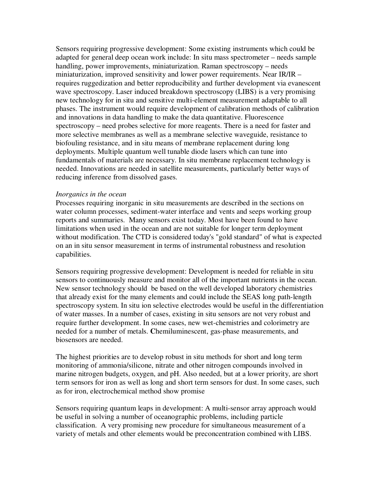Sensors requiring progressive development: Some existing instruments which could be adapted for general deep ocean work include: In situ mass spectrometer – needs sample handling, power improvements, miniaturization. Raman spectroscopy – needs miniaturization, improved sensitivity and lower power requirements. Near IR/IR – requires ruggedization and better reproducibility and further development via evanescent wave spectroscopy. Laser induced breakdown spectroscopy (LIBS) is a very promising new technology for in situ and sensitive multi-element measurement adaptable to all phases. The instrument would require development of calibration methods of calibration and innovations in data handling to make the data quantitative. Fluorescence spectroscopy – need probes selective for more reagents. There is a need for faster and more selective membranes as well as a membrane selective waveguide, resistance to biofouling resistance, and in situ means of membrane replacement during long deployments. Multiple quantum well tunable diode lasers which can tune into fundamentals of materials are necessary. In situ membrane replacement technology is needed. Innovations are needed in satellite measurements, particularly better ways of reducing inference from dissolved gases.

### *Inorganics in the ocean*

Processes requiring inorganic in situ measurements are described in the sections on water column processes, sediment-water interface and vents and seeps working group reports and summaries. Many sensors exist today. Most have been found to have limitations when used in the ocean and are not suitable for longer term deployment without modification. The CTD is considered today's "gold standard" of what is expected on an in situ sensor measurement in terms of instrumental robustness and resolution capabilities.

Sensors requiring progressive development: Development is needed for reliable in situ sensors to continuously measure and monitor all of the important nutrients in the ocean. New sensor technology should be based on the well developed laboratory chemistries that already exist for the many elements and could include the SEAS long path-length spectroscopy system. In situ ion selective electrodes would be useful in the differentiation of water masses. In a number of cases, existing in situ sensors are not very robust and require further development. In some cases, new wet-chemistries and colorimetry are needed for a number of metals. **C**hemiluminescent, gas-phase measurements, and biosensors are needed.

The highest priorities are to develop robust in situ methods for short and long term monitoring of ammonia/silicone, nitrate and other nitrogen compounds involved in marine nitrogen budgets, oxygen, and pH. Also needed, but at a lower priority, are short term sensors for iron as well as long and short term sensors for dust. In some cases, such as for iron, electrochemical method show promise

Sensors requiring quantum leaps in development: A multi-sensor array approach would be useful in solving a number of oceanographic problems, including particle classification. A very promising new procedure for simultaneous measurement of a variety of metals and other elements would be preconcentration combined with LIBS.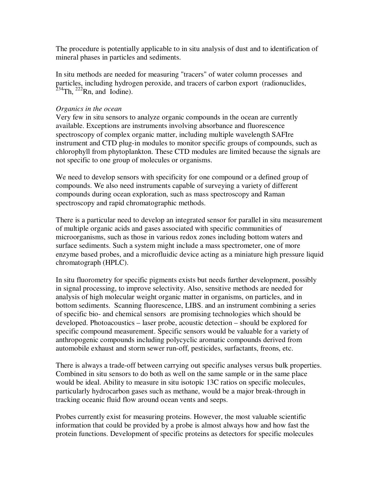The procedure is potentially applicable to in situ analysis of dust and to identification of mineral phases in particles and sediments.

In situ methods are needed for measuring "tracers" of water column processes and particles, including hydrogen peroxide, and tracers of carbon export (radionuclides,  $2^{234}$ Th,  $2^{22}$ Rn, and Iodine).

# *Organics in the ocean*

Very few in situ sensors to analyze organic compounds in the ocean are currently available. Exceptions are instruments involving absorbance and fluorescence spectroscopy of complex organic matter, including multiple wavelength SAFIre instrument and CTD plug-in modules to monitor specific groups of compounds, such as chlorophyll from phytoplankton. These CTD modules are limited because the signals are not specific to one group of molecules or organisms.

We need to develop sensors with specificity for one compound or a defined group of compounds. We also need instruments capable of surveying a variety of different compounds during ocean exploration, such as mass spectroscopy and Raman spectroscopy and rapid chromatographic methods.

There is a particular need to develop an integrated sensor for parallel in situ measurement of multiple organic acids and gases associated with specific communities of microorganisms, such as those in various redox zones including bottom waters and surface sediments. Such a system might include a mass spectrometer, one of more enzyme based probes, and a microfluidic device acting as a miniature high pressure liquid chromatograph (HPLC).

In situ fluorometry for specific pigments exists but needs further development, possibly in signal processing, to improve selectivity. Also, sensitive methods are needed for analysis of high molecular weight organic matter in organisms, on particles, and in bottom sediments. Scanning fluorescence, LIBS. and an instrument combining a series of specific bio- and chemical sensors are promising technologies which should be developed. Photoacoustics – laser probe, acoustic detection – should be explored for specific compound measurement. Specific sensors would be valuable for a variety of anthropogenic compounds including polycyclic aromatic compounds derived from automobile exhaust and storm sewer run-off, pesticides, surfactants, freons, etc.

There is always a trade-off between carrying out specific analyses versus bulk properties. Combined in situ sensors to do both as well on the same sample or in the same place would be ideal. Ability to measure in situ isotopic 13C ratios on specific molecules, particularly hydrocarbon gases such as methane, would be a major break-through in tracking oceanic fluid flow around ocean vents and seeps.

Probes currently exist for measuring proteins. However, the most valuable scientific information that could be provided by a probe is almost always how and how fast the protein functions. Development of specific proteins as detectors for specific molecules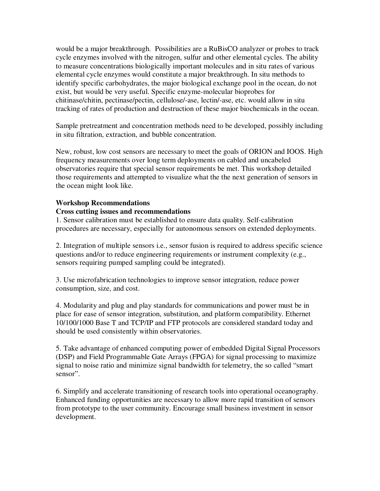would be a major breakthrough. Possibilities are a RuBisCO analyzer or probes to track cycle enzymes involved with the nitrogen, sulfur and other elemental cycles. The ability to measure concentrations biologically important molecules and in situ rates of various elemental cycle enzymes would constitute a major breakthrough. In situ methods to identify specific carbohydrates, the major biological exchange pool in the ocean, do not exist, but would be very useful. Specific enzyme-molecular bioprobes for chitinase/chitin, pectinase/pectin, cellulose/-ase, lectin/-ase, etc. would allow in situ tracking of rates of production and destruction of these major biochemicals in the ocean.

Sample pretreatment and concentration methods need to be developed, possibly including in situ filtration, extraction, and bubble concentration.

New, robust, low cost sensors are necessary to meet the goals of ORION and IOOS. High frequency measurements over long term deployments on cabled and uncabeled observatories require that special sensor requirements be met. This workshop detailed those requirements and attempted to visualize what the the next generation of sensors in the ocean might look like.

# **Workshop Recommendations**

# **Cross cutting issues and recommendations**

1. Sensor calibration must be established to ensure data quality. Self-calibration procedures are necessary, especially for autonomous sensors on extended deployments.

2. Integration of multiple sensors i.e., sensor fusion is required to address specific science questions and/or to reduce engineering requirements or instrument complexity (e.g., sensors requiring pumped sampling could be integrated).

3. Use microfabrication technologies to improve sensor integration, reduce power consumption, size, and cost.

4. Modularity and plug and play standards for communications and power must be in place for ease of sensor integration, substitution, and platform compatibility. Ethernet 10/100/1000 Base T and TCP/IP and FTP protocols are considered standard today and should be used consistently within observatories.

5. Take advantage of enhanced computing power of embedded Digital Signal Processors (DSP) and Field Programmable Gate Arrays (FPGA) for signal processing to maximize signal to noise ratio and minimize signal bandwidth for telemetry, the so called "smart sensor".

6. Simplify and accelerate transitioning of research tools into operational oceanography. Enhanced funding opportunities are necessary to allow more rapid transition of sensors from prototype to the user community. Encourage small business investment in sensor development.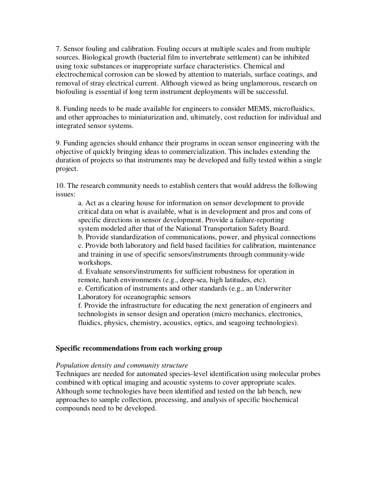7. Sensor fouling and calibration. Fouling occurs at multiple scales and from multiple sources. Biological growth (bacterial film to invertebrate settlement) can be inhibited using toxic substances or inappropriate surface characteristics. Chemical and electrochemical corrosion can be slowed by attention to materials, surface coatings, and removal of stray electrical current. Although viewed as being unglamorous, research on biofouling is essential if long term instrument deployments will be successful.

8. Funding needs to be made available for engineers to consider MEMS, microfluidics, and other approaches to miniaturization and, ultimately, cost reduction for individual and integrated sensor systems.

9. Funding agencies should enhance their programs in ocean sensor engineering with the objective of quickly bringing ideas to commercialization. This includes extending the duration of projects so that instruments may be developed and fully tested within a single project.

10. The research community needs to establish centers that would address the following issues:

a. Act as a clearing house for information on sensor development to provide critical data on what is available, what is in development and pros and cons of specific directions in sensor development. Provide a failure-reporting system modeled after that of the National Transportation Safety Board.

b. Provide standardization of communications, power, and physical connections c. Provide both laboratory and field based facilities for calibration, maintenance and training in use of specific sensors/instruments through community-wide workshops.

d. Evaluate sensors/instruments for sufficient robustness for operation in remote, harsh environments (e.g., deep-sea, high latitudes, etc).

e. Certification of instruments and other standards (e.g., an Underwriter Laboratory for oceanographic sensors

f. Provide the infrastructure for educating the next generation of engineers and technologists in sensor design and operation (micro mechanics, electronics, fluidics, physics, chemistry, acoustics, optics, and seagoing technologies).

# **Specific recommendations from each working group**

# *Population density and community structure*

Techniques are needed for automated species-level identification using molecular probes combined with optical imaging and acoustic systems to cover appropriate scales. Although some technologies have been identified and tested on the lab bench, new approaches to sample collection, processing, and analysis of specific biochemical compounds need to be developed.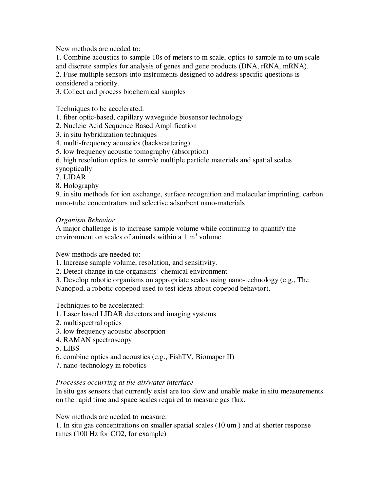New methods are needed to:

1. Combine acoustics to sample 10s of meters to m scale, optics to sample m to um scale and discrete samples for analysis of genes and gene products (DNA, rRNA, mRNA).

2. Fuse multiple sensors into instruments designed to address specific questions is considered a priority.

3. Collect and process biochemical samples

Techniques to be accelerated:

1. fiber optic-based, capillary waveguide biosensor technology

2. Nucleic Acid Sequence Based Amplification

3. in situ hybridization techniques

4. multi-frequency acoustics (backscattering)

5. low frequency acoustic tomography (absorption)

6. high resolution optics to sample multiple particle materials and spatial scales synoptically

7. LIDAR

8. Holography

9. in situ methods for ion exchange, surface recognition and molecular imprinting, carbon nano-tube concentrators and selective adsorbent nano-materials

# *Organism Behavior*

A major challenge is to increase sample volume while continuing to quantify the environment on scales of animals within a  $1 \text{ m}^3$  volume.

New methods are needed to:

1. Increase sample volume, resolution, and sensitivity.

2. Detect change in the organisms' chemical environment

3. Develop robotic organisms on appropriate scales using nano-technology (e.g., The Nanopod, a robotic copepod used to test ideas about copepod behavior).

Techniques to be accelerated:

1. Laser based LIDAR detectors and imaging systems

- 2. multispectral optics
- 3. low frequency acoustic absorption
- 4. RAMAN spectroscopy
- 5. LIBS
- 6. combine optics and acoustics (e.g., FishTV, Biomaper II)

7. nano-technology in robotics

# *Processes occurring at the air/water interface*

In situ gas sensors that currently exist are too slow and unable make in situ measurements on the rapid time and space scales required to measure gas flux.

New methods are needed to measure:

1. In situ gas concentrations on smaller spatial scales (10 um ) and at shorter response times (100 Hz for CO2, for example)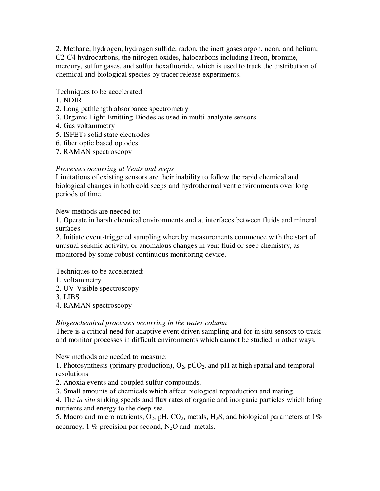2. Methane, hydrogen, hydrogen sulfide, radon, the inert gases argon, neon, and helium; C2-C4 hydrocarbons, the nitrogen oxides, halocarbons including Freon, bromine, mercury, sulfur gases, and sulfur hexafluoride, which is used to track the distribution of chemical and biological species by tracer release experiments.

# Techniques to be accelerated

- 1. NDIR
- 2. Long pathlength absorbance spectrometry
- 3. Organic Light Emitting Diodes as used in multi-analyate sensors
- 4. Gas voltammetry
- 5. ISFETs solid state electrodes
- 6. fiber optic based optodes
- 7. RAMAN spectroscopy

# *Processes occurring at Vents and seeps*

Limitations of existing sensors are their inability to follow the rapid chemical and biological changes in both cold seeps and hydrothermal vent environments over long periods of time.

New methods are needed to:

1. Operate in harsh chemical environments and at interfaces between fluids and mineral surfaces

2. Initiate event-triggered sampling whereby measurements commence with the start of unusual seismic activity, or anomalous changes in vent fluid or seep chemistry, as monitored by some robust continuous monitoring device.

Techniques to be accelerated:

- 1. voltammetry
- 2. UV-Visible spectroscopy
- 3. LIBS
- 4. RAMAN spectroscopy

# *Biogeochemical processes occurring in the water column*

There is a critical need for adaptive event driven sampling and for in situ sensors to track and monitor processes in difficult environments which cannot be studied in other ways.

New methods are needed to measure:

1. Photosynthesis (primary production),  $O_2$ ,  $pCO_2$ , and  $pH$  at high spatial and temporal resolutions

2. Anoxia events and coupled sulfur compounds.

3. Small amounts of chemicals which affect biological reproduction and mating.

4. The *in situ* sinking speeds and flux rates of organic and inorganic particles which bring nutrients and energy to the deep-sea.

5. Macro and micro nutrients,  $O_2$ , pH,  $CO_2$ , metals,  $H_2S$ , and biological parameters at 1% accuracy, 1 % precision per second,  $N_2O$  and metals.